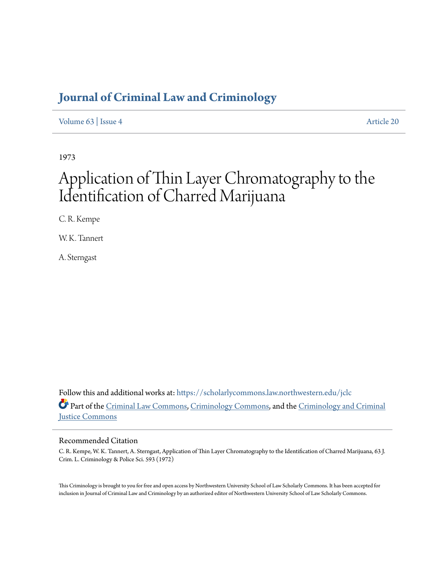# **[Journal of Criminal Law and Criminology](https://scholarlycommons.law.northwestern.edu/jclc?utm_source=scholarlycommons.law.northwestern.edu%2Fjclc%2Fvol63%2Fiss4%2F20&utm_medium=PDF&utm_campaign=PDFCoverPages)**

[Volume 63](https://scholarlycommons.law.northwestern.edu/jclc/vol63?utm_source=scholarlycommons.law.northwestern.edu%2Fjclc%2Fvol63%2Fiss4%2F20&utm_medium=PDF&utm_campaign=PDFCoverPages) | [Issue 4](https://scholarlycommons.law.northwestern.edu/jclc/vol63/iss4?utm_source=scholarlycommons.law.northwestern.edu%2Fjclc%2Fvol63%2Fiss4%2F20&utm_medium=PDF&utm_campaign=PDFCoverPages) [Article 20](https://scholarlycommons.law.northwestern.edu/jclc/vol63/iss4/20?utm_source=scholarlycommons.law.northwestern.edu%2Fjclc%2Fvol63%2Fiss4%2F20&utm_medium=PDF&utm_campaign=PDFCoverPages)

1973

# Application of Thin Layer Chromatography to the Identification of Charred Marijuana

C. R. Kempe

W. K. Tannert

A. Sterngast

Follow this and additional works at: [https://scholarlycommons.law.northwestern.edu/jclc](https://scholarlycommons.law.northwestern.edu/jclc?utm_source=scholarlycommons.law.northwestern.edu%2Fjclc%2Fvol63%2Fiss4%2F20&utm_medium=PDF&utm_campaign=PDFCoverPages) Part of the [Criminal Law Commons](http://network.bepress.com/hgg/discipline/912?utm_source=scholarlycommons.law.northwestern.edu%2Fjclc%2Fvol63%2Fiss4%2F20&utm_medium=PDF&utm_campaign=PDFCoverPages), [Criminology Commons](http://network.bepress.com/hgg/discipline/417?utm_source=scholarlycommons.law.northwestern.edu%2Fjclc%2Fvol63%2Fiss4%2F20&utm_medium=PDF&utm_campaign=PDFCoverPages), and the [Criminology and Criminal](http://network.bepress.com/hgg/discipline/367?utm_source=scholarlycommons.law.northwestern.edu%2Fjclc%2Fvol63%2Fiss4%2F20&utm_medium=PDF&utm_campaign=PDFCoverPages) [Justice Commons](http://network.bepress.com/hgg/discipline/367?utm_source=scholarlycommons.law.northwestern.edu%2Fjclc%2Fvol63%2Fiss4%2F20&utm_medium=PDF&utm_campaign=PDFCoverPages)

# Recommended Citation

C. R. Kempe, W. K. Tannert, A. Sterngast, Application of Thin Layer Chromatography to the Identification of Charred Marijuana, 63 J. Crim. L. Criminology & Police Sci. 593 (1972)

This Criminology is brought to you for free and open access by Northwestern University School of Law Scholarly Commons. It has been accepted for inclusion in Journal of Criminal Law and Criminology by an authorized editor of Northwestern University School of Law Scholarly Commons.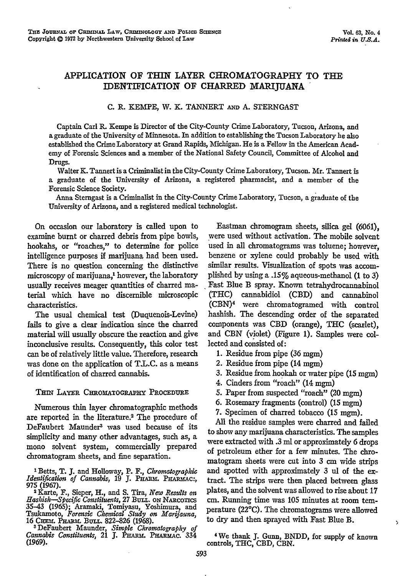# APPLICATION OF THIN LAYER CHROMATOGRAPHY TO **THE** IDENTIFICATION OF CHARRED MARIJUANA

## C. R. KEMPE, W. **K.** TANNERT **AND** A. STERNGAST

Captain Carl R. Kempe is Director of the City-County Crime Laboratory, Tucson, Arizona, and a graduate of the University of Minnesota. In addition to establishing the Tucson Laboratory he also established the Crime Laboratory at Grand Rapids, Michigan. He is a Fellow in the American Academy of Forensic Sciences and a member of the National Safety Council, Committee of Alcohol and Drugs.

Walter K. Tannert is a Criminalist in the City-County Crime Laboratory, Tucson. Mr. Tannert is a graduate of the University of Arizona, a registered pharmacist, and a member of the Forensic Science Society.

Anna Stemgast is a Criminalist in the City-County Crime Laboratory, Tucson, a graduate of the University of Arizona, and a registered medical technologist.

On occasion our laboratory is called upon to examine burnt or charred debris from pipe bowls, hookahs, or "roaches," to determine for police intelligence purposes if marijuana had been used. There is no question concerning the distinctive microscopy of marijuana,<sup>1</sup> however, the laboratory usually receives meager quantities of charred material which have no discernible microscopic characteristics.

The usual chemical test (Duquenois-Levine) fails to give a dear indication since the charred material will usually obscure the reaction and give inconclusive results. Consequently, this color test can be of relatively little value. Therefore, research was done on the application of T.L.C. as a means of identification of charred cannabis.

### THIN LAYER CHROMATOGRAPHY PROCEDURE

Numerous thin layer chromatographic methods are reported in the literature.2 The procedure of DeFaubert Maunder3 was used because of its simplicity and many other advantages, such as, a mono solvent system, commercially prepared chromatogram sheets, and fine separation.

Cannabis Constituents, 21 J. PHARM. PHARMAC. 334<br>(1969).

Eastman chromogram sheets, silica gel (6061), were used without activation. The mobile solvent used in all chromatograms was toluene; however, benzene or xylene could probably be used with similar results. Visualization of spots was accomplished by using a .15% aqueous-methanol (1 to 3) Fast Blue B spray. Known tetrahydrocannabinol (THC) cannabidiol (CBD) and cannabinol (CBN)<sup>4</sup> were chromatogramed with control hashish. The descending order of the separated components was CBD (orange), THC (scarlet), and CBN (violet) (Figure 1). Samples were collected and consisted of:

- 1. Residue from pipe (36 mgm)
- 2. Residue from pipe (14 mgm)
- **3.** Residue from hookah or water pipe (15 mgm)
- 4. Cinders from "roach" (14 mgm)
- 5. Paper from suspected "roach" (20 mgm)
- 6. Rosemary fragments (control) (15 mgm)
- 7. Specimen of charred tobacco (15 mgm).

All the residue samples were charred and failed to show any marijuana characteristics. The samples were extracted with .3 ml or approximately 6 drops of petroleum ether for a few minutes. The chromatogram sheets were cut into **3** cm wide strips and spotted with approximately 3 ul of the extract. The strips were then placed between glass plates, and the solvent was allowed to rise about 17 cm. Running time was 105 minutes at room temperature (22°C). The chromatograms were allowed to dry and then sprayed with Fast Blue B.

We thank **J.** Gunn, BNDD, for supply of known controls, THC, CBD, CBN.

 $\overline{\phantom{a}}$ 

**I** Betts, T. **J.** and Holloway, P. F., *Chromatographic Identification of Cannabis,* 19 J. PHARM. PHARMAC: 975 (1967). <sup>2</sup>

Karte, F., Sieper, H., and **S.** Tira, *New Results on Hashish-Specift Constituents,* **27** BuLL. **ON** NARcorxcs 35–43 (1965); Aramaki, Tomiyasu, Yoshimura, and<br>Tsukamoto, Forensic Chemical Study on Marijauna,<br>16 CHEM. PHARM. BULL. 822–826 (1968).<br><sup>3</sup> DeFaubert Maunder, Simple Chromatography of<br>Cannabis Constituents, 21 J. PHARM. PHA